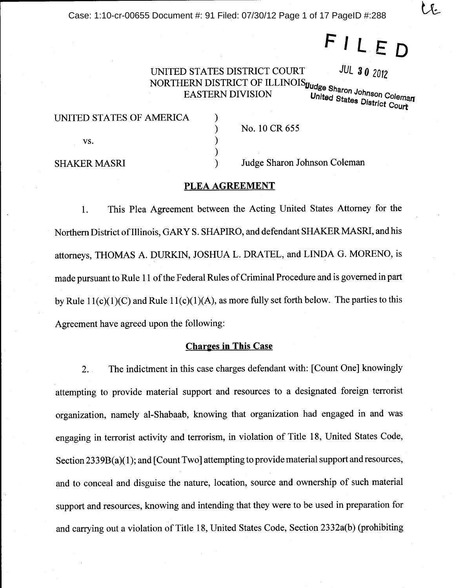Case: 1:10-cr-00655 Document #: 91 Filed: 07/30/12 Page 1 of 17 PageID #:288

FILED

UNITED STATES DISTRICT COURT UNITED STATES DISTRICT OF ILLINOIS Judge Sharon Johnson Coleman<br>NORTHERN DISTRICT OF ILLINOIS Judge Sharon Johnson Coleman

⟩

 $\mathcal{E}$  $\mathcal{E}$  $\lambda$  United States District Court

**JUL 30 2012** 

| UNITED STATES OF AMERICA |  |
|--------------------------|--|
| VS.                      |  |

**SHAKER MASRI** 

No. 10 CR 655

Judge Sharon Johnson Coleman

# PLEA AGREEMENT

This Plea Agreement between the Acting United States Attorney for the 1. Northern District of Illinois, GARY S. SHAPIRO, and defendant SHAKER MASRI, and his attorneys, THOMAS A. DURKIN, JOSHUA L. DRATEL, and LINDA G. MORENO, is made pursuant to Rule 11 of the Federal Rules of Criminal Procedure and is governed in part by Rule  $11(c)(1)(C)$  and Rule  $11(c)(1)(A)$ , as more fully set forth below. The parties to this Agreement have agreed upon the following:

### **Charges in This Case**

The indictment in this case charges defendant with: [Count One] knowingly  $2.$ attempting to provide material support and resources to a designated foreign terrorist organization, namely al-Shabaab, knowing that organization had engaged in and was engaging in terrorist activity and terrorism, in violation of Title 18, United States Code, Section 2339B(a)(1); and [Count Two] attempting to provide material support and resources, and to conceal and disguise the nature, location, source and ownership of such material support and resources, knowing and intending that they were to be used in preparation for and carrying out a violation of Title 18, United States Code, Section 2332a(b) (prohibiting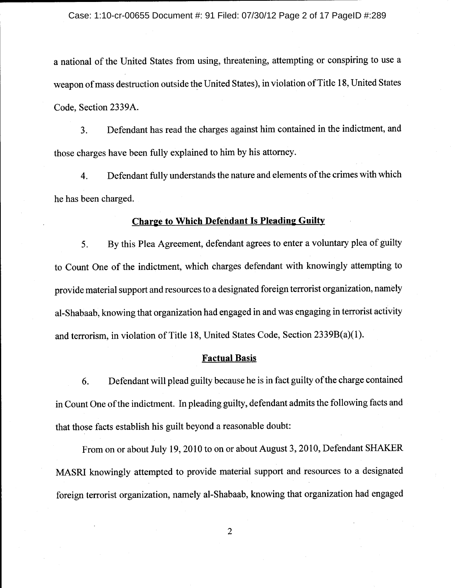a national of the United States from using, threatening, attempting or conspiring to use a weapon of mass destruction outside the United States), in violation of Title 18, United States Code, Section 2339A.

Defendant has read the charges against him contained in the indictment, and 3. those charges have been fully explained to him by his attorney.

Defendant fully understands the nature and elements of the crimes with which 4. he has been charged.

# **Charge to Which Defendant Is Pleading Guilty**

By this Plea Agreement, defendant agrees to enter a voluntary plea of guilty 5. to Count One of the indictment, which charges defendant with knowingly attempting to provide material support and resources to a designated foreign terrorist organization, namely al-Shabaab, knowing that organization had engaged in and was engaging in terrorist activity and terrorism, in violation of Title 18, United States Code, Section  $2339B(a)(1)$ .

### **Factual Basis**

Defendant will plead guilty because he is in fact guilty of the charge contained 6. in Count One of the indictment. In pleading guilty, defendant admits the following facts and that those facts establish his guilt beyond a reasonable doubt:

From on or about July 19, 2010 to on or about August 3, 2010, Defendant SHAKER MASRI knowingly attempted to provide material support and resources to a designated foreign terrorist organization, namely al-Shabaab, knowing that organization had engaged

 $\overline{2}$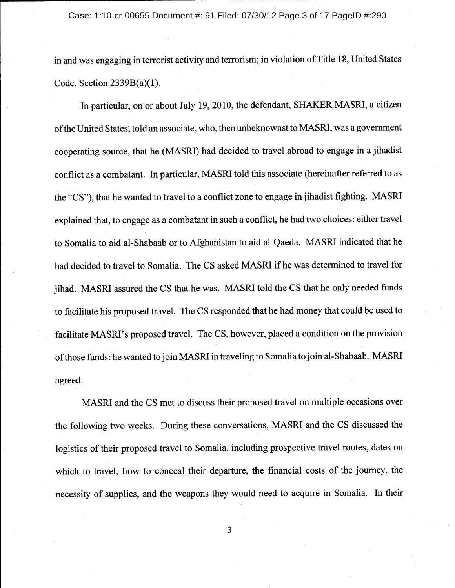#### Case: 1:10-cr-00655 Document #: 91 Filed: 07/30/12 Page 3 of 17 PageID #:290

in and was engaging in terrorist activity and terrorism; in violation of Title 18, United States Code, Section  $2339B(a)(1)$ .

In particular, on or about July 19, 2010, the defendant, SHAKER MASRI, a citizen of the United States; told an associate, who, then unbeknownst to MASRI, was a government cooperating source, that he (MASRI) had decided to travel abroad to engage in a jihadist conflict as a combatant. In particular, MASRI told this associate (hereinafter referred to as the "CS"), that he wanted to travel to a conflict zone to engage in jihadist fighting. MASRI explained that, to engage as a combatant in such a conflict, he had two choices: either travel to Somalia to aid al-Shabaab or to Afghanistan to aid al-Qaeda. MASRI indicated that he had decided to travel to Somalia. The CS asked MASRI if he was determined to travel for iihad. MASRI assured the CS that he was. MASRI told the CS that he only needed funds to facilitate his proposed travel. The CS responded that he had money that could be used to facilitate MASRI's proposed travel. The CS, however, placed a condition on the provision of those funds: he wanted to join MASRI in traveling to Somalia to join al-Shabaab. MASRI agreed.

MASRI and the CS met to discuss their proposed travel on multiple occasions over the following two weeks. During these conversations, MASRI and the CS discussed the logistics of their proposed travel to Somalia, including prospective travel routes, dates on which to travel, how to conceal their departure, the financial costs of the journey, the necessity of supplies, and the weapons they would need to acquire in Somalia. In their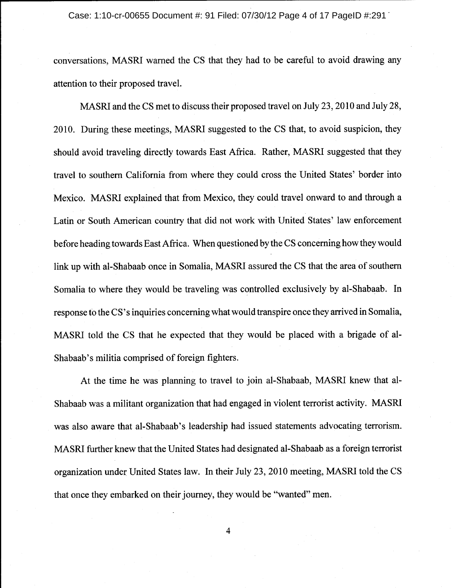conversations, MASRI warned the CS that they had to be careful to avoid drawing any attention to their proposed travel.

MASRI and the CS met to discuss their proposed travel on July 23, 2010 and July 28, 2010. During these meetings, MASRI suggested to the CS that, to avoid suspicion, they should avoid traveling directly towards East Africa. Rather, MASRI suggested that they travel to southern California from where they could cross the United States' border into Mexico. MASRI explained that from Mexico, they could travel onward to and through a Latin or South American country that did not work with United States' law enforcement before heading towards East Africa. When questioned by the CS concerning how they would link up with al-Shabaab once in Somalia, MASRI assured the CS that the area of southern Somalia to where they would be traveling was controlled exclusively by al-Shabaab. In response to the CS's inquiries concerning what would transpire once they arrived in Somalia, MASRI told the CS that he expected that they would be placed with a brigade of al-Shabaab's militia comprised of foreign fighters.

At the time he was planning to travel to join al-Shabaab, MASRI knew that al-Shabaab was a militant organization that had engaged in violent terrorist activity. MASRI was also aware that al-Shabaab's leadership had issued statements advocating terrorism. MASRI further knew that the United States had designated al-Shabaab as a foreign terrorist organization under United States law. In their July 23, 2010 meeting, MASRI told the CS that once they embarked on their journey, they would be "wanted" men.

 $\overline{\mathbf{4}}$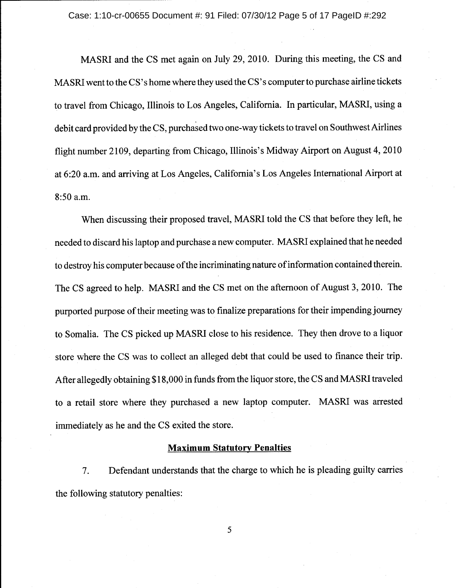Case: 1:10-cr-00655 Document #: 91 Filed: 07/30/12 Page 5 of 17 PageID #:292

MASRI and the CS met again on July 29, 2010. During this meeting, the CS and MASRI went to the CS's home where they used the CS's computer to purchase airline tickets to travel from Chicago, Illinois to Los Angeles, California. In particular, MASRI, using a debit card provided by the CS, purchased two one-way tickets to travel on Southwest Airlines flight number 2109, departing from Chicago, Illinois's Midway Airport on August 4, 2010 at 6:20 a.m. and arriving at Los Angeles, California's Los Angeles International Airport at 8:50 a.m.

When discussing their proposed travel, MASRI told the CS that before they left, he needed to discard his laptop and purchase a new computer. MASRI explained that he needed to destroy his computer because of the incriminating nature of information contained therein. The CS agreed to help. MASRI and the CS met on the afternoon of August 3, 2010. The purported purpose of their meeting was to finalize preparations for their impending journey to Somalia. The CS picked up MASRI close to his residence. They then drove to a liquor store where the CS was to collect an alleged debt that could be used to finance their trip. After allegedly obtaining \$18,000 in funds from the liquor store, the CS and MASRI traveled to a retail store where they purchased a new laptop computer. MASRI was arrested immediately as he and the CS exited the store.

### **Maximum Statutory Penalties**

Defendant understands that the charge to which he is pleading guilty carries  $7.$ the following statutory penalties: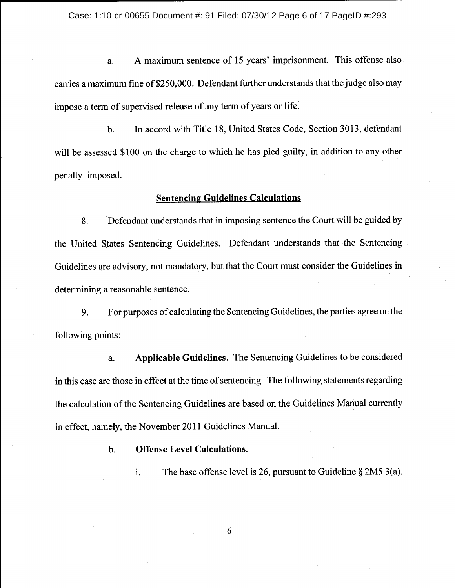A maximum sentence of 15 years' imprisonment. This offense also a. carries a maximum fine of \$250,000. Defendant further understands that the judge also may impose a term of supervised release of any term of years or life.

In accord with Title 18, United States Code, Section 3013, defendant **.** will be assessed \$100 on the charge to which he has pled guilty, in addition to any other penalty imposed.

# **Sentencing Guidelines Calculations**

8. Defendant understands that in imposing sentence the Court will be guided by the United States Sentencing Guidelines. Defendant understands that the Sentencing Guidelines are advisory, not mandatory, but that the Court must consider the Guidelines in determining a reasonable sentence.

For purposes of calculating the Sentencing Guidelines, the parties agree on the 9. following points:

**Applicable Guidelines.** The Sentencing Guidelines to be considered a. in this case are those in effect at the time of sentencing. The following statements regarding the calculation of the Sentencing Guidelines are based on the Guidelines Manual currently in effect, namely, the November 2011 Guidelines Manual.

> **Offense Level Calculations.**  $\mathbf{b}$ .

> > The base offense level is 26, pursuant to Guideline  $\S 2M5.3(a)$ . i.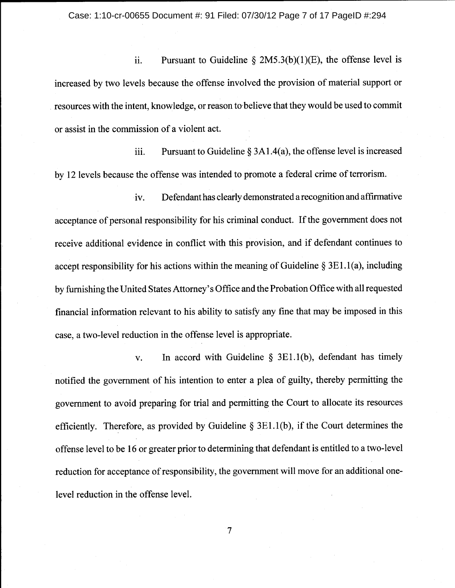Pursuant to Guideline  $\S 2M5.3(b)(1)(E)$ , the offense level is ii. increased by two levels because the offense involved the provision of material support or resources with the intent, knowledge, or reason to believe that they would be used to commit or assist in the commission of a violent act.

iii. Pursuant to Guideline  $\S 3A1.4(a)$ , the offense level is increased by 12 levels because the offense was intended to promote a federal crime of terrorism.

Defendant has clearly demonstrated a recognition and affirmative iv. acceptance of personal responsibility for his criminal conduct. If the government does not receive additional evidence in conflict with this provision, and if defendant continues to accept responsibility for his actions within the meaning of Guideline  $\S 3E1.1(a)$ , including by furnishing the United States Attorney's Office and the Probation Office with all requested financial information relevant to his ability to satisfy any fine that may be imposed in this case, a two-level reduction in the offense level is appropriate.

In accord with Guideline  $\S$  3E1.1(b), defendant has timely  $V_{\bullet}$ notified the government of his intention to enter a plea of guilty, thereby permitting the government to avoid preparing for trial and permitting the Court to allocate its resources efficiently. Therefore, as provided by Guideline  $\S 3E1.1(b)$ , if the Court determines the offense level to be 16 or greater prior to determining that defendant is entitled to a two-level reduction for acceptance of responsibility, the government will move for an additional onelevel reduction in the offense level.

 $\overline{7}$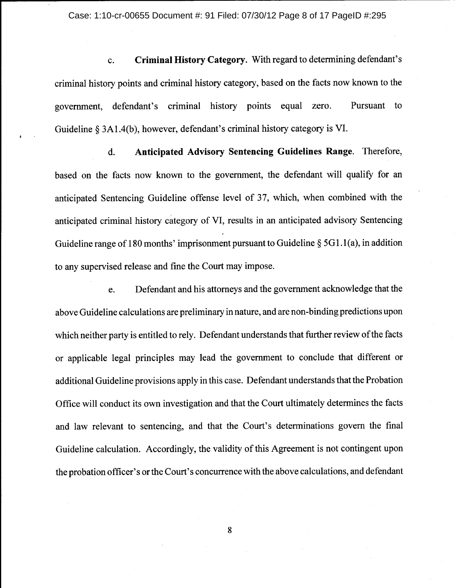Case: 1:10-cr-00655 Document #: 91 Filed: 07/30/12 Page 8 of 17 PageID #:295

Criminal History Category. With regard to determining defendant's c. criminal history points and criminal history category, based on the facts now known to the Pursuant government, defendant's criminal history points equal zero. to Guideline § 3A1.4(b), however, defendant's criminal history category is VI.

Anticipated Advisory Sentencing Guidelines Range. Therefore, d. based on the facts now known to the government, the defendant will qualify for an anticipated Sentencing Guideline offense level of 37, which, when combined with the anticipated criminal history category of VI, results in an anticipated advisory Sentencing Guideline range of 180 months' imprisonment pursuant to Guideline  $\S$  5G1.1(a), in addition to any supervised release and fine the Court may impose.

Defendant and his attorneys and the government acknowledge that the e. above Guideline calculations are preliminary in nature, and are non-binding predictions upon which neither party is entitled to rely. Defendant understands that further review of the facts or applicable legal principles may lead the government to conclude that different or additional Guideline provisions apply in this case. Defendant understands that the Probation Office will conduct its own investigation and that the Court ultimately determines the facts and law relevant to sentencing, and that the Court's determinations govern the final Guideline calculation. Accordingly, the validity of this Agreement is not contingent upon the probation officer's or the Court's concurrence with the above calculations, and defendant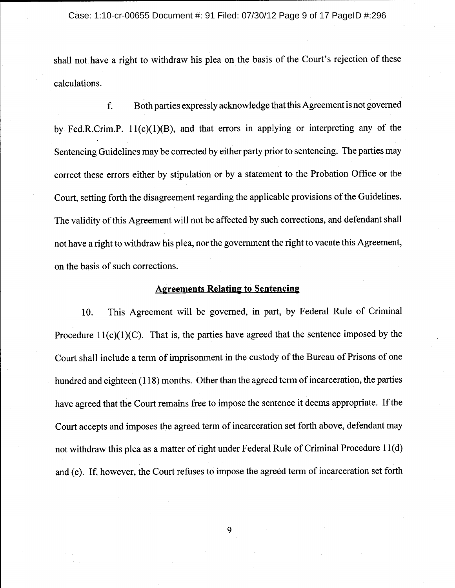#### Case: 1:10-cr-00655 Document #: 91 Filed: 07/30/12 Page 9 of 17 PageID #:296

shall not have a right to withdraw his plea on the basis of the Court's rejection of these calculations.

Both parties expressly acknowledge that this Agreement is not governed f. by Fed.R.Crim.P.  $11(c)(1)(B)$ , and that errors in applying or interpreting any of the Sentencing Guidelines may be corrected by either party prior to sentencing. The parties may correct these errors either by stipulation or by a statement to the Probation Office or the Court, setting forth the disagreement regarding the applicable provisions of the Guidelines. The validity of this Agreement will not be affected by such corrections, and defendant shall not have a right to withdraw his plea, nor the government the right to vacate this Agreement, on the basis of such corrections.

# **Agreements Relating to Sentencing**

This Agreement will be governed, in part, by Federal Rule of Criminal 10. Procedure  $11(c)(1)(C)$ . That is, the parties have agreed that the sentence imposed by the Court shall include a term of imprisonment in the custody of the Bureau of Prisons of one hundred and eighteen (118) months. Other than the agreed term of incarceration, the parties have agreed that the Court remains free to impose the sentence it deems appropriate. If the Court accepts and imposes the agreed term of incarceration set forth above, defendant may not withdraw this plea as a matter of right under Federal Rule of Criminal Procedure 11(d) and (e). If, however, the Court refuses to impose the agreed term of incarceration set forth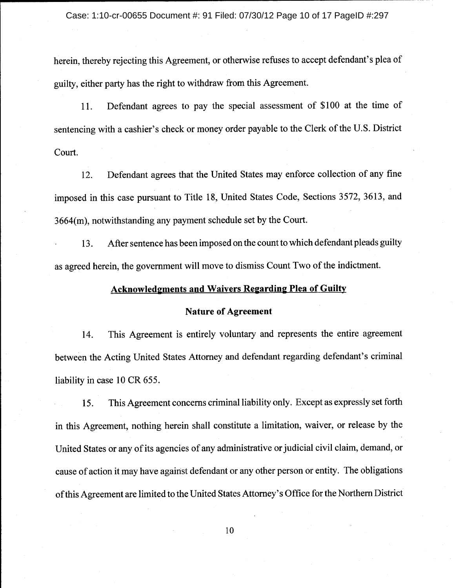herein, thereby rejecting this Agreement, or otherwise refuses to accept defendant's plea of guilty, either party has the right to withdraw from this Agreement.

Defendant agrees to pay the special assessment of \$100 at the time of 11. sentencing with a cashier's check or money order payable to the Clerk of the U.S. District Court.

Defendant agrees that the United States may enforce collection of any fine 12. imposed in this case pursuant to Title 18, United States Code, Sections 3572, 3613, and  $3664(m)$ , notwithstanding any payment schedule set by the Court.

After sentence has been imposed on the count to which defendant pleads guilty 13. as agreed herein, the government will move to dismiss Count Two of the indictment.

# **Acknowledgments and Waivers Regarding Plea of Guilty**

### **Nature of Agreement**

This Agreement is entirely voluntary and represents the entire agreement 14. between the Acting United States Attorney and defendant regarding defendant's criminal liability in case 10 CR 655.

This Agreement concerns criminal liability only. Except as expressly set forth 15. in this Agreement, nothing herein shall constitute a limitation, waiver, or release by the United States or any of its agencies of any administrative or judicial civil claim, demand, or cause of action it may have against defendant or any other person or entity. The obligations of this Agreement are limited to the United States Attorney's Office for the Northern District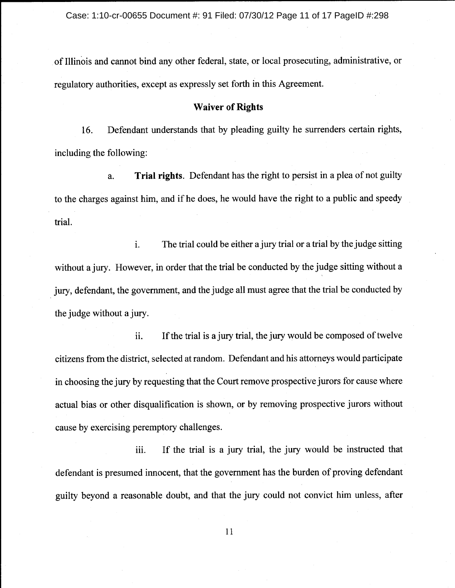of Illinois and cannot bind any other federal, state, or local prosecuting, administrative, or regulatory authorities, except as expressly set forth in this Agreement.

# **Waiver of Rights**

Defendant understands that by pleading guilty he surrenders certain rights, 16. including the following:

Trial rights. Defendant has the right to persist in a plea of not guilty a. to the charges against him, and if he does, he would have the right to a public and speedy trial.

i. The trial could be either a jury trial or a trial by the judge sitting without a jury. However, in order that the trial be conducted by the judge sitting without a jury, defendant, the government, and the judge all must agree that the trial be conducted by the judge without a jury.

ii. If the trial is a jury trial, the jury would be composed of twelve citizens from the district, selected at random. Defendant and his attorneys would participate in choosing the jury by requesting that the Court remove prospective jurors for cause where actual bias or other disqualification is shown, or by removing prospective jurors without cause by exercising peremptory challenges.

If the trial is a jury trial, the jury would be instructed that iii. defendant is presumed innocent, that the government has the burden of proving defendant guilty beyond a reasonable doubt, and that the jury could not convict him unless, after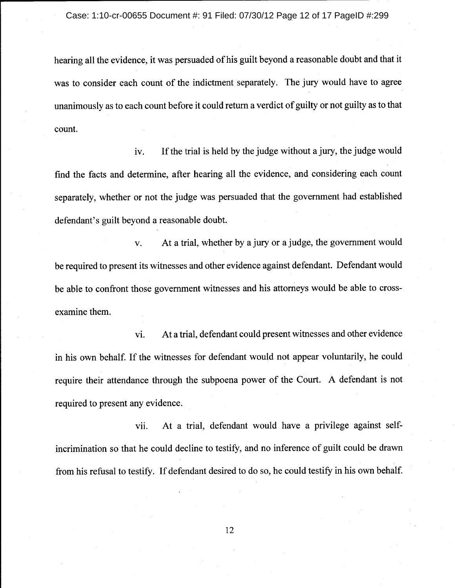hearing all the evidence, it was persuaded of his guilt beyond a reasonable doubt and that it was to consider each count of the indictment separately. The jury would have to agree unanimously as to each count before it could return a verdict of guilty or not guilty as to that count.

iv. If the trial is held by the judge without a jury, the judge would find the facts and determine, after hearing all the evidence, and considering each count separately, whether or not the judge was persuaded that the government had established defendant's guilt beyond a reasonable doubt.

At a trial, whether by a jury or a judge, the government would  $\mathbf{V}$ . be required to present its witnesses and other evidence against defendant. Defendant would be able to confront those government witnesses and his attorneys would be able to crossexamine them.

At a trial, defendant could present witnesses and other evidence vi. in his own behalf. If the witnesses for defendant would not appear voluntarily, he could require their attendance through the subpoena power of the Court. A defendant is not required to present any evidence.

At a trial, defendant would have a privilege against selfvii. incrimination so that he could decline to testify, and no inference of guilt could be drawn from his refusal to testify. If defendant desired to do so, he could testify in his own behalf.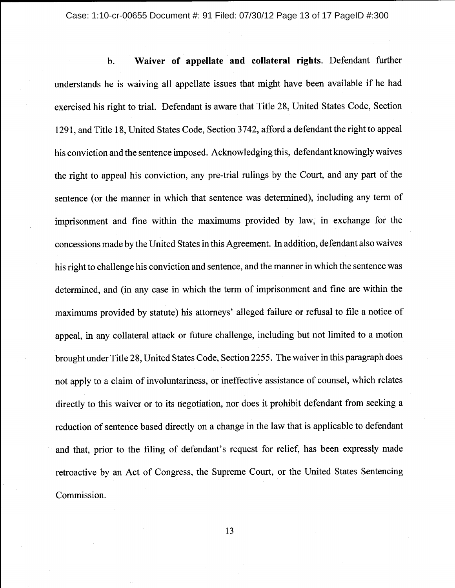Waiver of appellate and collateral rights. Defendant further **.** understands he is waiving all appellate issues that might have been available if he had exercised his right to trial. Defendant is aware that Title 28, United States Code, Section 1291, and Title 18, United States Code, Section 3742, afford a defendant the right to appeal his conviction and the sentence imposed. Acknowledging this, defendant knowingly waives the right to appeal his conviction, any pre-trial rulings by the Court, and any part of the sentence (or the manner in which that sentence was determined), including any term of imprisonment and fine within the maximums provided by law, in exchange for the concessions made by the United States in this Agreement. In addition, defendant also waives his right to challenge his conviction and sentence, and the manner in which the sentence was determined, and (in any case in which the term of imprisonment and fine are within the maximums provided by statute) his attorneys' alleged failure or refusal to file a notice of appeal, in any collateral attack or future challenge, including but not limited to a motion brought under Title 28, United States Code, Section 2255. The waiver in this paragraph does not apply to a claim of involuntariness, or ineffective assistance of counsel, which relates directly to this waiver or to its negotiation, nor does it prohibit defendant from seeking a reduction of sentence based directly on a change in the law that is applicable to defendant and that, prior to the filing of defendant's request for relief, has been expressly made retroactive by an Act of Congress, the Supreme Court, or the United States Sentencing Commission.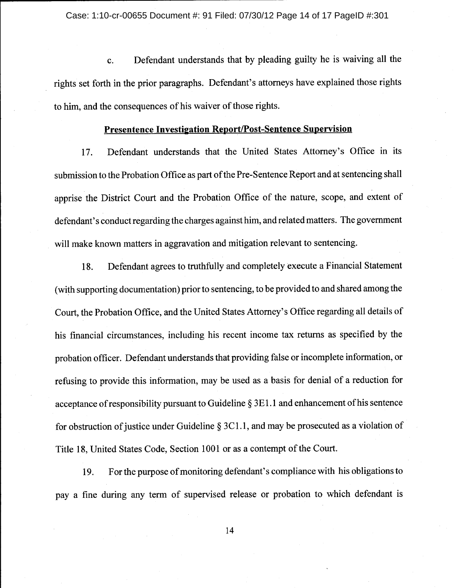Defendant understands that by pleading guilty he is waiving all the  $\mathbf{c}$ . rights set forth in the prior paragraphs. Defendant's attorneys have explained those rights to him, and the consequences of his waiver of those rights.

### Presentence Investigation Report/Post-Sentence Supervision

Defendant understands that the United States Attorney's Office in its 17. submission to the Probation Office as part of the Pre-Sentence Report and at sentencing shall apprise the District Court and the Probation Office of the nature, scope, and extent of defendant's conduct regarding the charges against him, and related matters. The government will make known matters in aggravation and mitigation relevant to sentencing.

Defendant agrees to truthfully and completely execute a Financial Statement 18. (with supporting documentation) prior to sentencing, to be provided to and shared among the Court, the Probation Office, and the United States Attorney's Office regarding all details of his financial circumstances, including his recent income tax returns as specified by the probation officer. Defendant understands that providing false or incomplete information, or refusing to provide this information, may be used as a basis for denial of a reduction for acceptance of responsibility pursuant to Guideline § 3E1.1 and enhancement of his sentence for obstruction of justice under Guideline  $\S 3C1.1$ , and may be prosecuted as a violation of Title 18, United States Code, Section 1001 or as a contempt of the Court.

For the purpose of monitoring defendant's compliance with his obligations to 19. pay a fine during any term of supervised release or probation to which defendant is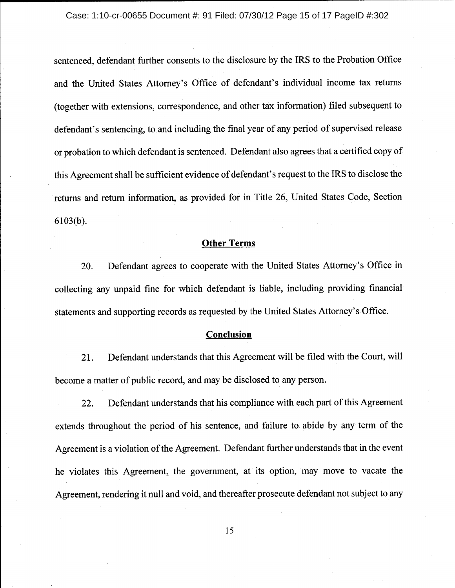sentenced, defendant further consents to the disclosure by the IRS to the Probation Office and the United States Attorney's Office of defendant's individual income tax returns (together with extensions, correspondence, and other tax information) filed subsequent to defendant's sentencing, to and including the final year of any period of supervised release or probation to which defendant is sentenced. Defendant also agrees that a certified copy of this Agreement shall be sufficient evidence of defendant's request to the IRS to disclose the returns and return information, as provided for in Title 26, United States Code, Section  $6103(b)$ .

# **Other Terms**

Defendant agrees to cooperate with the United States Attorney's Office in 20. collecting any unpaid fine for which defendant is liable, including providing financial statements and supporting records as requested by the United States Attorney's Office.

### **Conclusion**

 $21.$ Defendant understands that this Agreement will be filed with the Court, will become a matter of public record, and may be disclosed to any person.

Defendant understands that his compliance with each part of this Agreement 22. extends throughout the period of his sentence, and failure to abide by any term of the Agreement is a violation of the Agreement. Defendant further understands that in the event he violates this Agreement, the government, at its option, may move to vacate the Agreement, rendering it null and void, and thereafter prosecute defendant not subject to any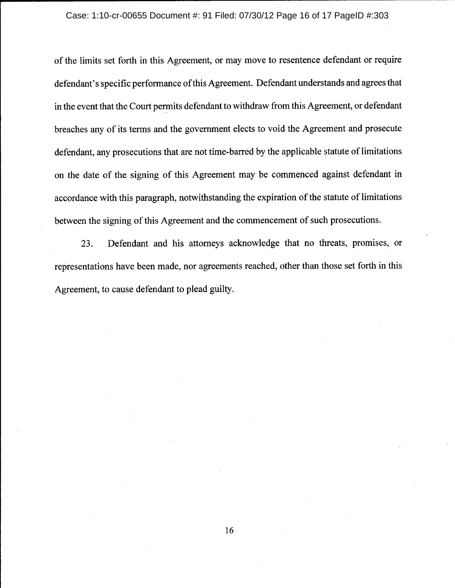of the limits set forth in this Agreement, or may move to resentence defendant or require defendant's specific performance of this Agreement. Defendant understands and agrees that in the event that the Court permits defendant to withdraw from this Agreement, or defendant breaches any of its terms and the government elects to void the Agreement and prosecute defendant, any prosecutions that are not time-barred by the applicable statute of limitations on the date of the signing of this Agreement may be commenced against defendant in accordance with this paragraph, notwithstanding the expiration of the statute of limitations between the signing of this Agreement and the commencement of such prosecutions.

23. Defendant and his attorneys acknowledge that no threats, promises, or representations have been made, nor agreements reached, other than those set forth in this Agreement, to cause defendant to plead guilty.